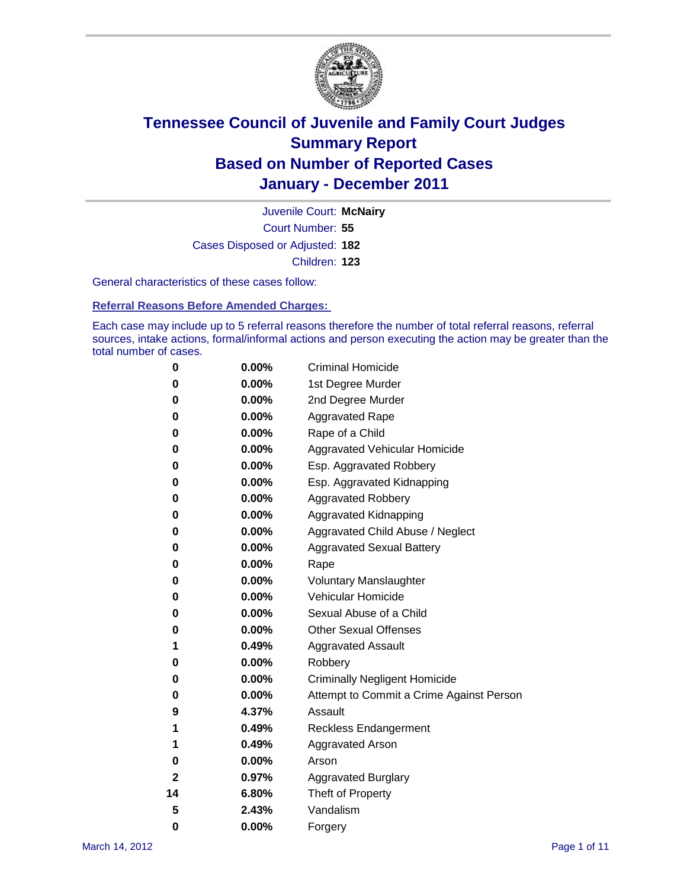

Court Number: **55** Juvenile Court: **McNairy** Cases Disposed or Adjusted: **182** Children: **123**

General characteristics of these cases follow:

**Referral Reasons Before Amended Charges:** 

Each case may include up to 5 referral reasons therefore the number of total referral reasons, referral sources, intake actions, formal/informal actions and person executing the action may be greater than the total number of cases.

| 0  | 0.00%    | <b>Criminal Homicide</b>                 |  |  |
|----|----------|------------------------------------------|--|--|
| 0  | 0.00%    | 1st Degree Murder                        |  |  |
| 0  | 0.00%    | 2nd Degree Murder                        |  |  |
| 0  | 0.00%    | <b>Aggravated Rape</b>                   |  |  |
| 0  | 0.00%    | Rape of a Child                          |  |  |
| 0  | 0.00%    | Aggravated Vehicular Homicide            |  |  |
| 0  | 0.00%    | Esp. Aggravated Robbery                  |  |  |
| 0  | 0.00%    | Esp. Aggravated Kidnapping               |  |  |
| 0  | 0.00%    | <b>Aggravated Robbery</b>                |  |  |
| 0  | 0.00%    | Aggravated Kidnapping                    |  |  |
| 0  | 0.00%    | Aggravated Child Abuse / Neglect         |  |  |
| 0  | 0.00%    | <b>Aggravated Sexual Battery</b>         |  |  |
| 0  | 0.00%    | Rape                                     |  |  |
| 0  | $0.00\%$ | <b>Voluntary Manslaughter</b>            |  |  |
| 0  | 0.00%    | Vehicular Homicide                       |  |  |
| 0  | 0.00%    | Sexual Abuse of a Child                  |  |  |
| 0  | 0.00%    | <b>Other Sexual Offenses</b>             |  |  |
| 1  | 0.49%    | <b>Aggravated Assault</b>                |  |  |
| 0  | $0.00\%$ | Robbery                                  |  |  |
| 0  | 0.00%    | <b>Criminally Negligent Homicide</b>     |  |  |
| 0  | 0.00%    | Attempt to Commit a Crime Against Person |  |  |
| 9  | 4.37%    | Assault                                  |  |  |
| 1  | 0.49%    | <b>Reckless Endangerment</b>             |  |  |
| 1  | 0.49%    | <b>Aggravated Arson</b>                  |  |  |
| 0  | 0.00%    | Arson                                    |  |  |
| 2  | 0.97%    | <b>Aggravated Burglary</b>               |  |  |
| 14 | 6.80%    | Theft of Property                        |  |  |
| 5  | 2.43%    | Vandalism                                |  |  |
| 0  | 0.00%    | Forgery                                  |  |  |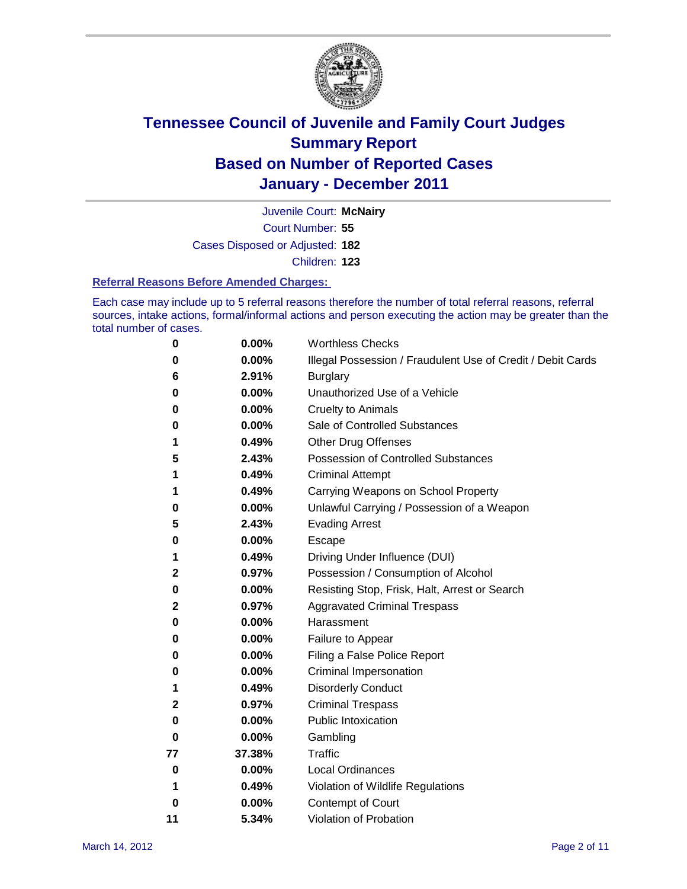

Court Number: **55** Juvenile Court: **McNairy** Cases Disposed or Adjusted: **182** Children: **123**

#### **Referral Reasons Before Amended Charges:**

Each case may include up to 5 referral reasons therefore the number of total referral reasons, referral sources, intake actions, formal/informal actions and person executing the action may be greater than the total number of cases.

| 0  | 0.00%    | <b>Worthless Checks</b>                                     |
|----|----------|-------------------------------------------------------------|
| 0  | 0.00%    | Illegal Possession / Fraudulent Use of Credit / Debit Cards |
| 6  | 2.91%    | <b>Burglary</b>                                             |
| 0  | 0.00%    | Unauthorized Use of a Vehicle                               |
| 0  | 0.00%    | <b>Cruelty to Animals</b>                                   |
| 0  | 0.00%    | Sale of Controlled Substances                               |
| 1  | 0.49%    | <b>Other Drug Offenses</b>                                  |
| 5  | 2.43%    | <b>Possession of Controlled Substances</b>                  |
| 1  | 0.49%    | <b>Criminal Attempt</b>                                     |
| 1  | 0.49%    | Carrying Weapons on School Property                         |
| 0  | 0.00%    | Unlawful Carrying / Possession of a Weapon                  |
| 5  | 2.43%    | <b>Evading Arrest</b>                                       |
| 0  | 0.00%    | Escape                                                      |
| 1  | 0.49%    | Driving Under Influence (DUI)                               |
| 2  | 0.97%    | Possession / Consumption of Alcohol                         |
| 0  | 0.00%    | Resisting Stop, Frisk, Halt, Arrest or Search               |
| 2  | 0.97%    | <b>Aggravated Criminal Trespass</b>                         |
| 0  | 0.00%    | Harassment                                                  |
| 0  | 0.00%    | Failure to Appear                                           |
| 0  | 0.00%    | Filing a False Police Report                                |
| 0  | 0.00%    | Criminal Impersonation                                      |
| 1  | 0.49%    | <b>Disorderly Conduct</b>                                   |
| 2  | 0.97%    | <b>Criminal Trespass</b>                                    |
| 0  | 0.00%    | <b>Public Intoxication</b>                                  |
| 0  | 0.00%    | Gambling                                                    |
| 77 | 37.38%   | <b>Traffic</b>                                              |
| 0  | 0.00%    | <b>Local Ordinances</b>                                     |
| 1  | 0.49%    | Violation of Wildlife Regulations                           |
| 0  | $0.00\%$ | Contempt of Court                                           |
| 11 | 5.34%    | Violation of Probation                                      |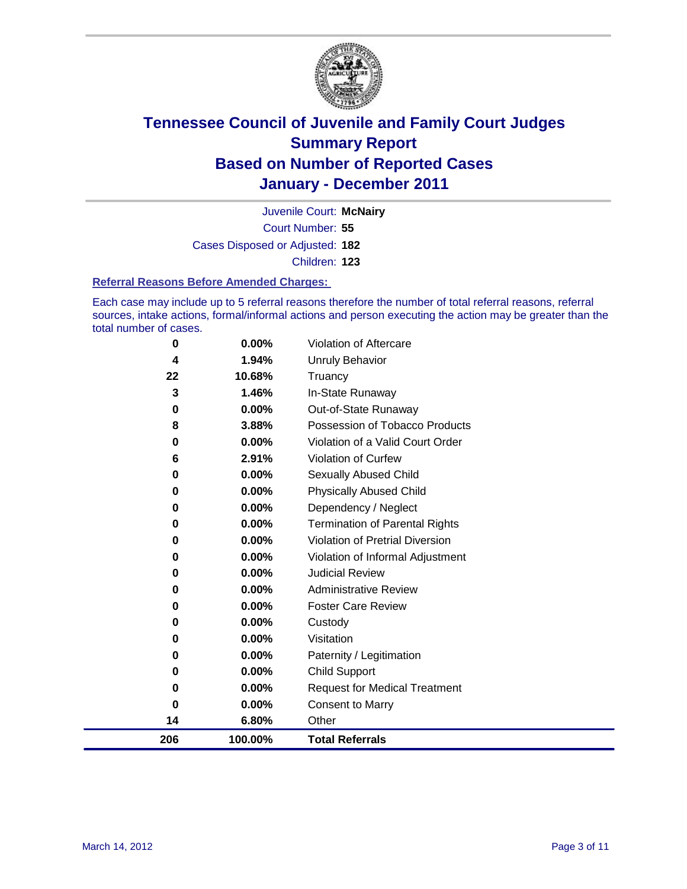

Court Number: **55** Juvenile Court: **McNairy** Cases Disposed or Adjusted: **182** Children: **123**

#### **Referral Reasons Before Amended Charges:**

Each case may include up to 5 referral reasons therefore the number of total referral reasons, referral sources, intake actions, formal/informal actions and person executing the action may be greater than the total number of cases.

| 206           | 100.00%        | <b>Total Referrals</b>                                             |
|---------------|----------------|--------------------------------------------------------------------|
| 14            | 6.80%          | Other                                                              |
| $\bf{0}$      | 0.00%          | <b>Consent to Marry</b>                                            |
| 0             | 0.00%          | <b>Request for Medical Treatment</b>                               |
| 0             | 0.00%          | <b>Child Support</b>                                               |
| $\bf{0}$      | 0.00%          | Paternity / Legitimation                                           |
| $\bf{0}$      | 0.00%          | Visitation                                                         |
| 0             | $0.00\%$       | Custody                                                            |
| 0             | $0.00\%$       | <b>Foster Care Review</b>                                          |
| $\bf{0}$      | $0.00\%$       | <b>Administrative Review</b>                                       |
| $\bf{0}$      | 0.00%          | <b>Judicial Review</b>                                             |
| 0             | $0.00\%$       | Violation of Informal Adjustment                                   |
| 0             | $0.00\%$       | <b>Violation of Pretrial Diversion</b>                             |
| $\bf{0}$      | $0.00\%$       | Termination of Parental Rights                                     |
| 0             | 0.00%          | Dependency / Neglect                                               |
| 0             | 0.00%          | <b>Physically Abused Child</b>                                     |
| 0             | $0.00\%$       | Sexually Abused Child                                              |
| 6             | 2.91%          | Violation of Curfew                                                |
| 8<br>$\bf{0}$ | 3.88%<br>0.00% | Possession of Tobacco Products<br>Violation of a Valid Court Order |
| 0             | $0.00\%$       | Out-of-State Runaway                                               |
| 3             | 1.46%          | In-State Runaway                                                   |
| 22            | 10.68%         | Truancy                                                            |
| 4             | 1.94%          | Unruly Behavior                                                    |
| 0             | 0.00%          | Violation of Aftercare                                             |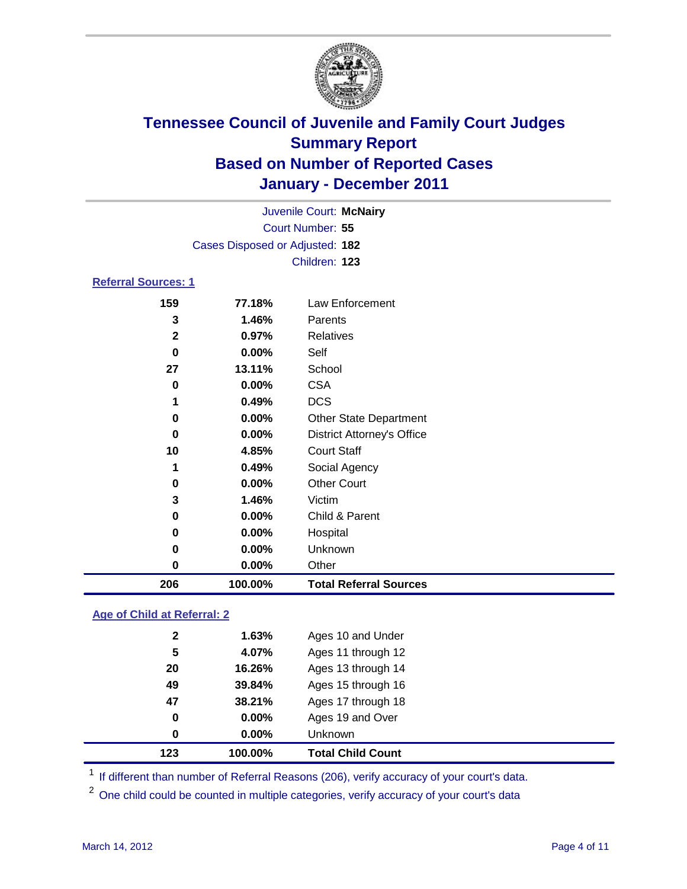

| 206                        | 100.00%                         | <b>Total Referral Sources</b>     |  |  |
|----------------------------|---------------------------------|-----------------------------------|--|--|
| 0                          | 0.00%                           | Other                             |  |  |
| 0                          | 0.00%                           | Unknown                           |  |  |
| 0                          | 0.00%                           | Hospital                          |  |  |
| 0                          | 0.00%                           | Child & Parent                    |  |  |
| 3                          | 1.46%                           | Victim                            |  |  |
| 0                          | $0.00\%$                        | <b>Other Court</b>                |  |  |
| 1                          | 0.49%                           | Social Agency                     |  |  |
| 10                         | 4.85%                           | <b>Court Staff</b>                |  |  |
| $\bf{0}$                   | $0.00\%$                        | <b>District Attorney's Office</b> |  |  |
| $\bf{0}$                   | 0.00%                           | <b>Other State Department</b>     |  |  |
| 1                          | 0.49%                           | <b>DCS</b>                        |  |  |
| 0                          | 0.00%                           | <b>CSA</b>                        |  |  |
| 27                         | 13.11%                          | School                            |  |  |
| $\bf{0}$                   | $0.00\%$                        | Self                              |  |  |
| $\mathbf 2$                | 0.97%                           | <b>Relatives</b>                  |  |  |
| 3                          | 1.46%                           | Parents                           |  |  |
| 159                        | 77.18%                          | Law Enforcement                   |  |  |
| <b>Referral Sources: 1</b> |                                 |                                   |  |  |
|                            |                                 | Children: 123                     |  |  |
|                            | Cases Disposed or Adjusted: 182 |                                   |  |  |
|                            | Court Number: 55                |                                   |  |  |
| Juvenile Court: McNairy    |                                 |                                   |  |  |
|                            |                                 |                                   |  |  |

### **Age of Child at Referral: 2**

| 100.00% | <b>Total Child Count</b> |
|---------|--------------------------|
| 0.00%   | <b>Unknown</b>           |
| 0.00%   | Ages 19 and Over         |
| 38.21%  | Ages 17 through 18       |
| 39.84%  | Ages 15 through 16       |
| 16.26%  | Ages 13 through 14       |
| 4.07%   | Ages 11 through 12       |
| 1.63%   | Ages 10 and Under        |
|         |                          |

<sup>1</sup> If different than number of Referral Reasons (206), verify accuracy of your court's data.

<sup>2</sup> One child could be counted in multiple categories, verify accuracy of your court's data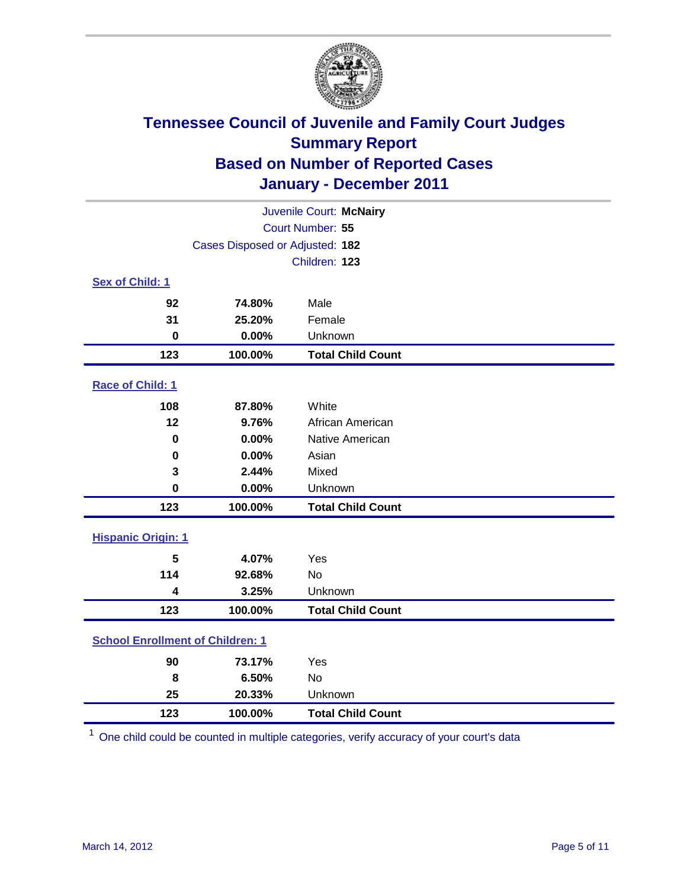

|                                         | Juvenile Court: McNairy         |                          |  |  |
|-----------------------------------------|---------------------------------|--------------------------|--|--|
| Court Number: 55                        |                                 |                          |  |  |
|                                         | Cases Disposed or Adjusted: 182 |                          |  |  |
|                                         |                                 | Children: 123            |  |  |
| Sex of Child: 1                         |                                 |                          |  |  |
| 92                                      | 74.80%                          | Male                     |  |  |
| 31                                      | 25.20%                          | Female                   |  |  |
| $\mathbf 0$                             | 0.00%                           | Unknown                  |  |  |
| 123                                     | 100.00%                         | <b>Total Child Count</b> |  |  |
| Race of Child: 1                        |                                 |                          |  |  |
| 108                                     | 87.80%                          | White                    |  |  |
| 12                                      | 9.76%                           | African American         |  |  |
| $\mathbf 0$                             | 0.00%                           | Native American          |  |  |
| $\mathbf 0$                             | 0.00%                           | Asian                    |  |  |
| 3                                       | 2.44%                           | Mixed                    |  |  |
| $\mathbf 0$                             | 0.00%                           | Unknown                  |  |  |
| 123                                     | 100.00%                         | <b>Total Child Count</b> |  |  |
| <b>Hispanic Origin: 1</b>               |                                 |                          |  |  |
| 5                                       | 4.07%                           | Yes                      |  |  |
| 114                                     | 92.68%                          | <b>No</b>                |  |  |
| 4                                       | 3.25%                           | Unknown                  |  |  |
| 123                                     | 100.00%                         | <b>Total Child Count</b> |  |  |
| <b>School Enrollment of Children: 1</b> |                                 |                          |  |  |
| 90                                      | 73.17%                          | Yes                      |  |  |
| 8                                       | 6.50%                           | <b>No</b>                |  |  |
| 25                                      | 20.33%                          | Unknown                  |  |  |
| 123                                     | 100.00%                         | <b>Total Child Count</b> |  |  |

One child could be counted in multiple categories, verify accuracy of your court's data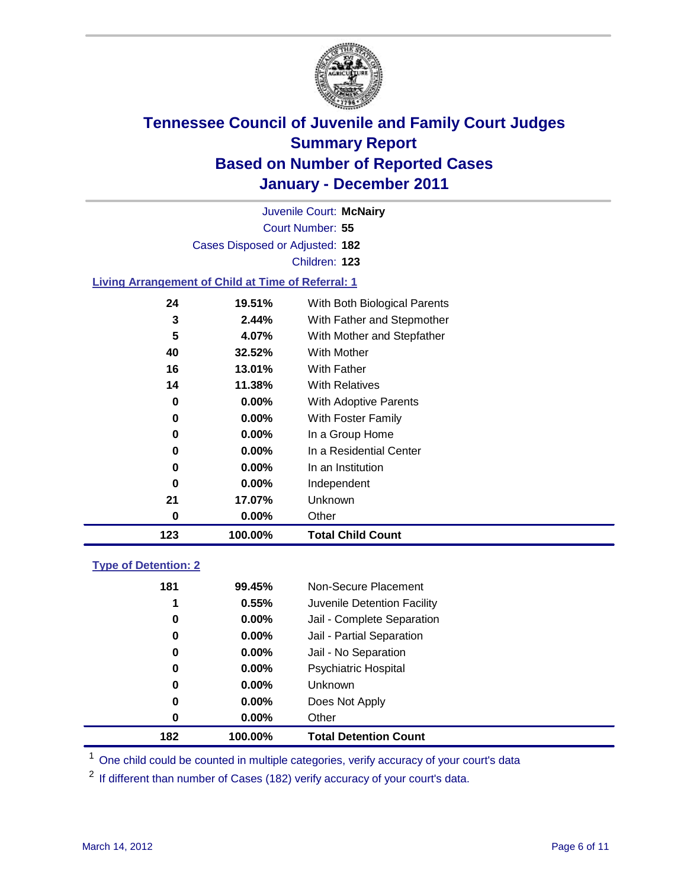

Court Number: **55** Juvenile Court: **McNairy** Cases Disposed or Adjusted: **182** Children: **123**

#### **Living Arrangement of Child at Time of Referral: 1**

| 123 | 100.00%  | <b>Total Child Count</b>     |  |
|-----|----------|------------------------------|--|
| 0   | 0.00%    | Other                        |  |
| 21  | 17.07%   | Unknown                      |  |
| 0   | $0.00\%$ | Independent                  |  |
| 0   | 0.00%    | In an Institution            |  |
| 0   | $0.00\%$ | In a Residential Center      |  |
| 0   | $0.00\%$ | In a Group Home              |  |
| 0   | $0.00\%$ | With Foster Family           |  |
| 0   | $0.00\%$ | With Adoptive Parents        |  |
| 14  | 11.38%   | <b>With Relatives</b>        |  |
| 16  | 13.01%   | With Father                  |  |
| 40  | 32.52%   | With Mother                  |  |
| 5   | 4.07%    | With Mother and Stepfather   |  |
| 3   | 2.44%    | With Father and Stepmother   |  |
| 24  | 19.51%   | With Both Biological Parents |  |
|     |          |                              |  |

### **Type of Detention: 2**

| 182 | 100.00%  | <b>Total Detention Count</b> |  |
|-----|----------|------------------------------|--|
| 0   | 0.00%    | Other                        |  |
| 0   | 0.00%    | Does Not Apply               |  |
| 0   | $0.00\%$ | <b>Unknown</b>               |  |
| 0   | $0.00\%$ | Psychiatric Hospital         |  |
| 0   | 0.00%    | Jail - No Separation         |  |
| 0   | $0.00\%$ | Jail - Partial Separation    |  |
| 0   | $0.00\%$ | Jail - Complete Separation   |  |
| 1   | 0.55%    | Juvenile Detention Facility  |  |
| 181 | 99.45%   | Non-Secure Placement         |  |
|     |          |                              |  |

<sup>1</sup> One child could be counted in multiple categories, verify accuracy of your court's data

<sup>2</sup> If different than number of Cases (182) verify accuracy of your court's data.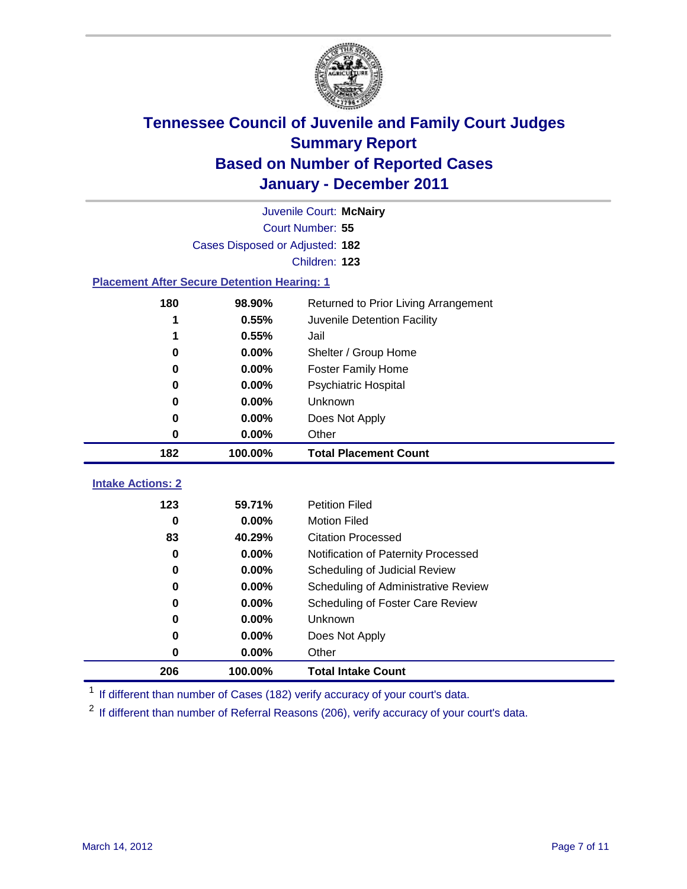

|                                                       | Juvenile Court: McNairy         |                                     |  |  |  |
|-------------------------------------------------------|---------------------------------|-------------------------------------|--|--|--|
|                                                       | Court Number: 55                |                                     |  |  |  |
|                                                       | Cases Disposed or Adjusted: 182 |                                     |  |  |  |
|                                                       |                                 | Children: 123                       |  |  |  |
| <b>Placement After Secure Detention Hearing: 1</b>    |                                 |                                     |  |  |  |
| 180<br>98.90%<br>Returned to Prior Living Arrangement |                                 |                                     |  |  |  |
| 1                                                     | 0.55%                           | Juvenile Detention Facility         |  |  |  |
| 1                                                     | 0.55%                           | Jail                                |  |  |  |
| 0                                                     | 0.00%                           | Shelter / Group Home                |  |  |  |
| 0                                                     | 0.00%                           | <b>Foster Family Home</b>           |  |  |  |
| 0                                                     | 0.00%                           | Psychiatric Hospital                |  |  |  |
| 0                                                     | 0.00%                           | Unknown                             |  |  |  |
| 0                                                     | 0.00%                           | Does Not Apply                      |  |  |  |
| 0                                                     | 0.00%                           | Other                               |  |  |  |
| 182                                                   | 100.00%                         | <b>Total Placement Count</b>        |  |  |  |
| <b>Intake Actions: 2</b>                              |                                 |                                     |  |  |  |
|                                                       |                                 | <b>Petition Filed</b>               |  |  |  |
| 123                                                   | 59.71%                          | <b>Motion Filed</b>                 |  |  |  |
| 0<br>83                                               | 0.00%<br>40.29%                 | <b>Citation Processed</b>           |  |  |  |
|                                                       |                                 |                                     |  |  |  |
| $\bf{0}$                                              | 0.00%                           | Notification of Paternity Processed |  |  |  |
| 0                                                     | 0.00%                           | Scheduling of Judicial Review       |  |  |  |
| 0                                                     | 0.00%                           | Scheduling of Administrative Review |  |  |  |
| 0                                                     | 0.00%                           | Scheduling of Foster Care Review    |  |  |  |
| 0                                                     | 0.00%                           | Unknown                             |  |  |  |
| 0                                                     | 0.00%                           | Does Not Apply                      |  |  |  |
| 0                                                     | 0.00%                           | Other                               |  |  |  |
| 206                                                   | 100.00%                         | <b>Total Intake Count</b>           |  |  |  |

<sup>1</sup> If different than number of Cases (182) verify accuracy of your court's data.

<sup>2</sup> If different than number of Referral Reasons (206), verify accuracy of your court's data.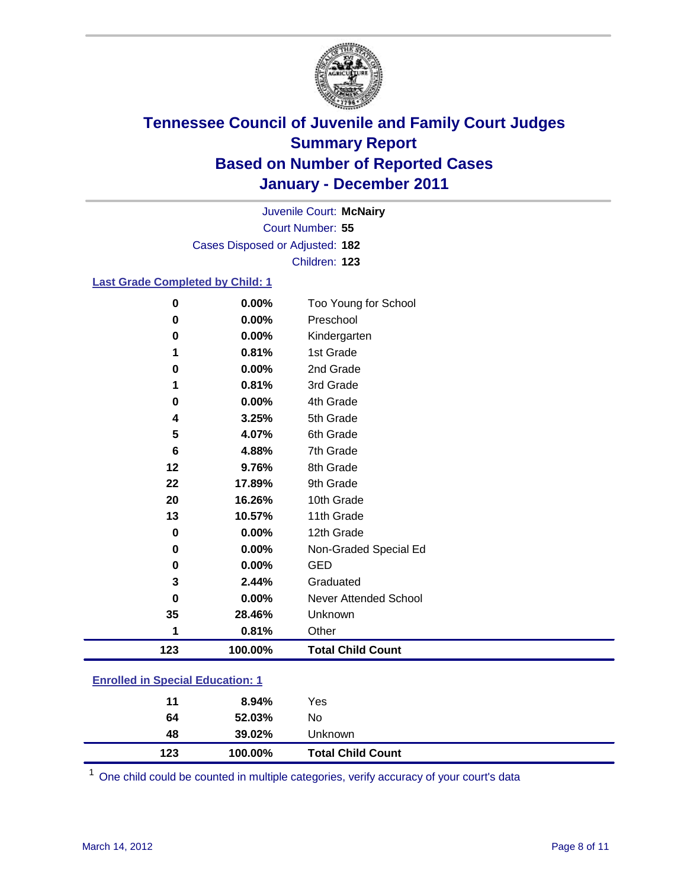

Court Number: **55** Juvenile Court: **McNairy** Cases Disposed or Adjusted: **182** Children: **123**

#### **Last Grade Completed by Child: 1**

| 0                                       | 0.00%   | Too Young for School     |  |
|-----------------------------------------|---------|--------------------------|--|
| 0                                       | 0.00%   | Preschool                |  |
| 0                                       | 0.00%   | Kindergarten             |  |
| 1                                       | 0.81%   | 1st Grade                |  |
| 0                                       | 0.00%   | 2nd Grade                |  |
| 1                                       | 0.81%   | 3rd Grade                |  |
| 0                                       | 0.00%   | 4th Grade                |  |
| 4                                       | 3.25%   | 5th Grade                |  |
| 5                                       | 4.07%   | 6th Grade                |  |
| 6                                       | 4.88%   | 7th Grade                |  |
| 12                                      | 9.76%   | 8th Grade                |  |
| 22                                      | 17.89%  | 9th Grade                |  |
| 20                                      | 16.26%  | 10th Grade               |  |
| 13                                      | 10.57%  | 11th Grade               |  |
| 0                                       | 0.00%   | 12th Grade               |  |
| 0                                       | 0.00%   | Non-Graded Special Ed    |  |
| 0                                       | 0.00%   | <b>GED</b>               |  |
| 3                                       | 2.44%   | Graduated                |  |
| 0                                       | 0.00%   | Never Attended School    |  |
| 35                                      | 28.46%  | Unknown                  |  |
| 1                                       | 0.81%   | Other                    |  |
| 123                                     | 100.00% | <b>Total Child Count</b> |  |
| <b>Enrolled in Special Education: 1</b> |         |                          |  |

| 123 | 100.00% | <b>Total Child Count</b> |  |  |
|-----|---------|--------------------------|--|--|
| 48  | 39.02%  | Unknown                  |  |  |
| 64  | 52.03%  | No.                      |  |  |
| 11  | 8.94%   | Yes                      |  |  |
|     |         |                          |  |  |

One child could be counted in multiple categories, verify accuracy of your court's data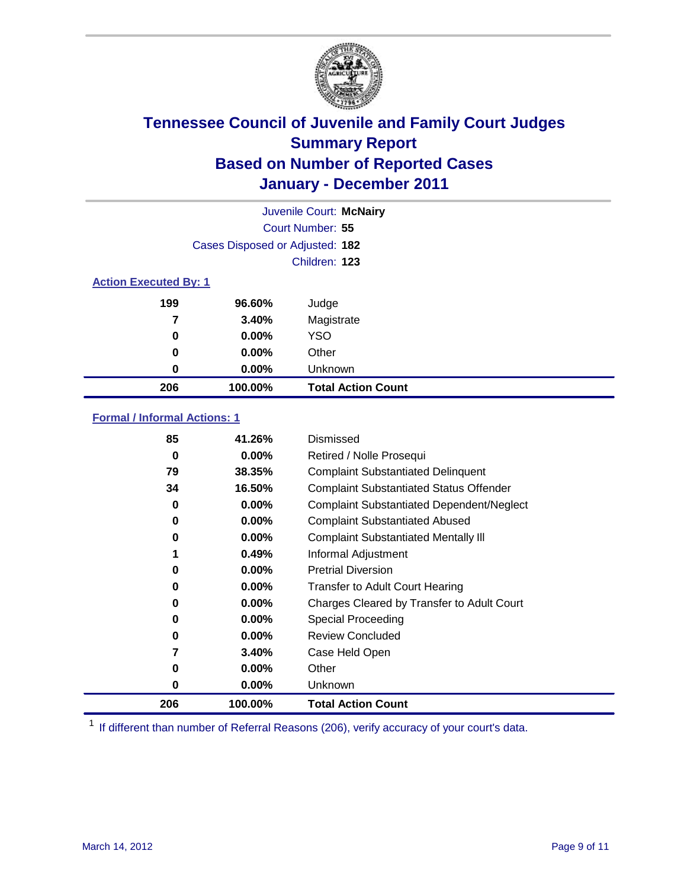

| Juvenile Court: McNairy      |                                 |                           |  |  |  |
|------------------------------|---------------------------------|---------------------------|--|--|--|
|                              | Court Number: 55                |                           |  |  |  |
|                              | Cases Disposed or Adjusted: 182 |                           |  |  |  |
|                              | Children: 123                   |                           |  |  |  |
| <b>Action Executed By: 1</b> |                                 |                           |  |  |  |
| 199                          | 96.60%                          | Judge                     |  |  |  |
| 7                            | 3.40%                           | Magistrate                |  |  |  |
| 0                            | 0.00%                           | <b>YSO</b>                |  |  |  |
| 0                            | $0.00\%$                        | Other                     |  |  |  |
| 0                            | 0.00%                           | Unknown                   |  |  |  |
| 206                          | 100.00%                         | <b>Total Action Count</b> |  |  |  |

### **Formal / Informal Actions: 1**

| 85  | 41.26%   | Dismissed                                        |
|-----|----------|--------------------------------------------------|
| 0   | $0.00\%$ | Retired / Nolle Prosequi                         |
| 79  | 38.35%   | <b>Complaint Substantiated Delinquent</b>        |
| 34  | 16.50%   | <b>Complaint Substantiated Status Offender</b>   |
| 0   | $0.00\%$ | <b>Complaint Substantiated Dependent/Neglect</b> |
| 0   | $0.00\%$ | <b>Complaint Substantiated Abused</b>            |
| 0   | $0.00\%$ | <b>Complaint Substantiated Mentally III</b>      |
|     | 0.49%    | Informal Adjustment                              |
| 0   | $0.00\%$ | <b>Pretrial Diversion</b>                        |
| 0   | $0.00\%$ | <b>Transfer to Adult Court Hearing</b>           |
| 0   | $0.00\%$ | Charges Cleared by Transfer to Adult Court       |
| 0   | $0.00\%$ | Special Proceeding                               |
| 0   | $0.00\%$ | <b>Review Concluded</b>                          |
| 7   | 3.40%    | Case Held Open                                   |
| 0   | $0.00\%$ | Other                                            |
| 0   | $0.00\%$ | <b>Unknown</b>                                   |
| 206 | 100.00%  | <b>Total Action Count</b>                        |

<sup>1</sup> If different than number of Referral Reasons (206), verify accuracy of your court's data.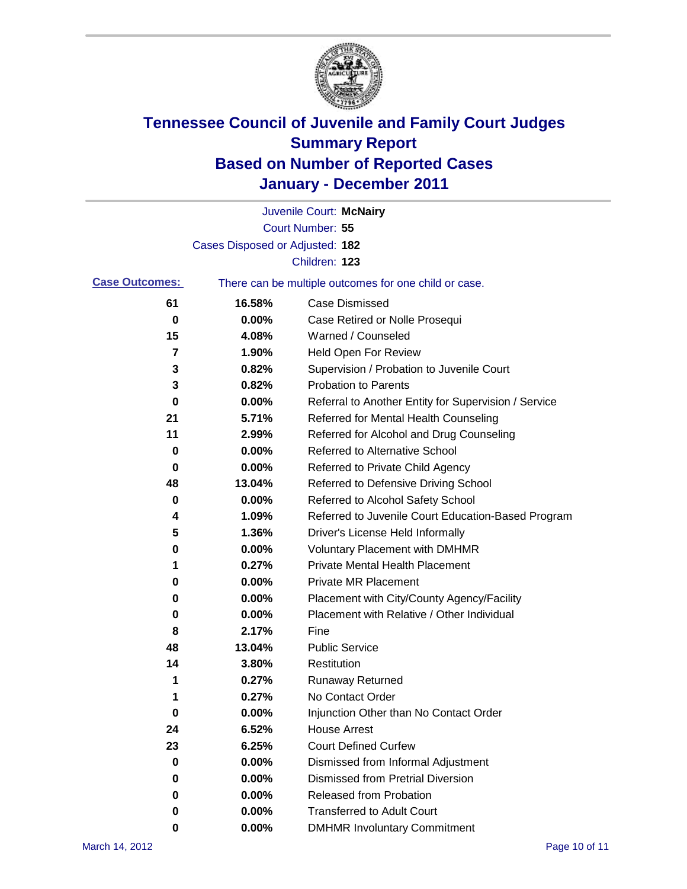

|                       |                                 | Juvenile Court: McNairy                               |
|-----------------------|---------------------------------|-------------------------------------------------------|
|                       |                                 | Court Number: 55                                      |
|                       | Cases Disposed or Adjusted: 182 |                                                       |
|                       |                                 | Children: 123                                         |
| <b>Case Outcomes:</b> |                                 | There can be multiple outcomes for one child or case. |
| 61                    | 16.58%                          | <b>Case Dismissed</b>                                 |
| 0                     | 0.00%                           | Case Retired or Nolle Prosequi                        |
| 15                    | 4.08%                           | Warned / Counseled                                    |
| 7                     | 1.90%                           | Held Open For Review                                  |
| 3                     | 0.82%                           | Supervision / Probation to Juvenile Court             |
| 3                     | 0.82%                           | <b>Probation to Parents</b>                           |
| 0                     | 0.00%                           | Referral to Another Entity for Supervision / Service  |
| 21                    | 5.71%                           | Referred for Mental Health Counseling                 |
| 11                    | 2.99%                           | Referred for Alcohol and Drug Counseling              |
| 0                     | 0.00%                           | <b>Referred to Alternative School</b>                 |
| 0                     | 0.00%                           | Referred to Private Child Agency                      |
| 48                    | 13.04%                          | Referred to Defensive Driving School                  |
| 0                     | 0.00%                           | Referred to Alcohol Safety School                     |
| 4                     | 1.09%                           | Referred to Juvenile Court Education-Based Program    |
| 5                     | 1.36%                           | Driver's License Held Informally                      |
| 0                     | 0.00%                           | <b>Voluntary Placement with DMHMR</b>                 |
| 1                     | 0.27%                           | <b>Private Mental Health Placement</b>                |
| 0                     | 0.00%                           | <b>Private MR Placement</b>                           |
| 0                     | 0.00%                           | Placement with City/County Agency/Facility            |
| 0                     | 0.00%                           | Placement with Relative / Other Individual            |
| 8                     | 2.17%                           | Fine                                                  |
| 48                    | 13.04%                          | <b>Public Service</b>                                 |
| 14                    | 3.80%                           | Restitution                                           |
| 1                     | 0.27%                           | <b>Runaway Returned</b>                               |
| 1                     | 0.27%                           | No Contact Order                                      |
| 0                     | 0.00%                           | Injunction Other than No Contact Order                |
| 24                    | 6.52%                           | <b>House Arrest</b>                                   |
| 23                    | 6.25%                           | <b>Court Defined Curfew</b>                           |
| 0                     | 0.00%                           | Dismissed from Informal Adjustment                    |
| 0                     | $0.00\%$                        | <b>Dismissed from Pretrial Diversion</b>              |
| 0                     | 0.00%                           | Released from Probation                               |
| 0                     | $0.00\%$                        | <b>Transferred to Adult Court</b>                     |
| 0                     | $0.00\%$                        | <b>DMHMR Involuntary Commitment</b>                   |